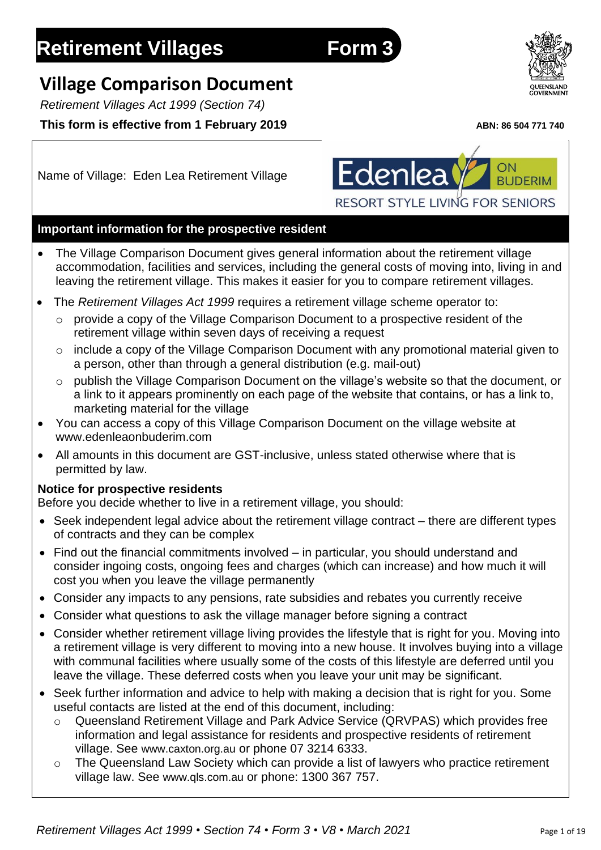# **Retirement Villages Form 3**

## **Village Comparison Document**

*Retirement Villages Act 1999 (Section 74)*

## **This form is effective from 1 February 2019** *ABN: 86 504 771 740*

Name of Village: Eden Lea Retirement Village



## **Important information for the prospective resident**

- The Village Comparison Document gives general information about the retirement village accommodation, facilities and services, including the general costs of moving into, living in and leaving the retirement village. This makes it easier for you to compare retirement villages.
- The *Retirement Villages Act 1999* requires a retirement village scheme operator to:
	- o provide a copy of the Village Comparison Document to a prospective resident of the retirement village within seven days of receiving a request
	- o include a copy of the Village Comparison Document with any promotional material given to a person, other than through a general distribution (e.g. mail-out)
	- o publish the Village Comparison Document on the village's website so that the document, or a link to it appears prominently on each page of the website that contains, or has a link to, marketing material for the village
- You can access a copy of this Village Comparison Document on the village website at www.edenleaonbuderim.com
- All amounts in this document are GST-inclusive, unless stated otherwise where that is permitted by law.

## **Notice for prospective residents**

Before you decide whether to live in a retirement village, you should:

- Seek independent legal advice about the retirement village contract there are different types of contracts and they can be complex
- Find out the financial commitments involved in particular, you should understand and consider ingoing costs, ongoing fees and charges (which can increase) and how much it will cost you when you leave the village permanently
- Consider any impacts to any pensions, rate subsidies and rebates you currently receive
- Consider what questions to ask the village manager before signing a contract
- Consider whether retirement village living provides the lifestyle that is right for you. Moving into a retirement village is very different to moving into a new house. It involves buying into a village with communal facilities where usually some of the costs of this lifestyle are deferred until you leave the village. These deferred costs when you leave your unit may be significant.
- Seek further information and advice to help with making a decision that is right for you. Some useful contacts are listed at the end of this document, including:
	- Queensland Retirement Village and Park Advice Service (QRVPAS) which provides free information and legal assistance for residents and prospective residents of retirement village. See [www.caxton.org.au](http://www.caxton.org.au/) or phone 07 3214 6333.
	- o The Queensland Law Society which can provide a list of lawyers who practice retirement village law. See [www.qls.com.au](http://www.qls.com.au/) or phone: 1300 367 757.

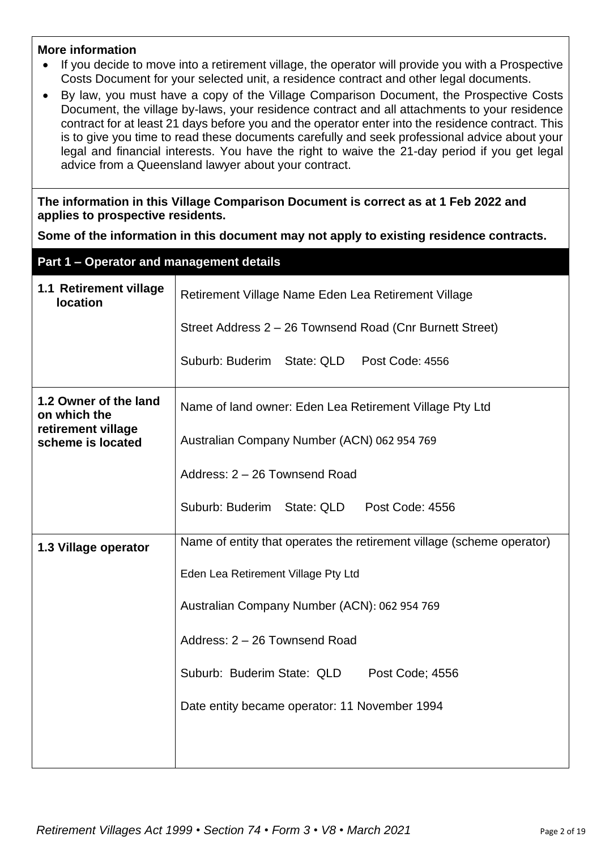#### **More information**

- If you decide to move into a retirement village, the operator will provide you with a Prospective Costs Document for your selected unit, a residence contract and other legal documents.
- By law, you must have a copy of the Village Comparison Document, the Prospective Costs Document, the village by-laws, your residence contract and all attachments to your residence contract for at least 21 days before you and the operator enter into the residence contract. This is to give you time to read these documents carefully and seek professional advice about your legal and financial interests. You have the right to waive the 21-day period if you get legal advice from a Queensland lawyer about your contract.

**The information in this Village Comparison Document is correct as at 1 Feb 2022 and applies to prospective residents.**

**Some of the information in this document may not apply to existing residence contracts.**

| Part 1 - Operator and management details  |                                                                       |  |  |  |
|-------------------------------------------|-----------------------------------------------------------------------|--|--|--|
| 1.1 Retirement village<br><b>location</b> | Retirement Village Name Eden Lea Retirement Village                   |  |  |  |
|                                           | Street Address 2 - 26 Townsend Road (Cnr Burnett Street)              |  |  |  |
|                                           | Suburb: Buderim State: QLD Post Code: 4556                            |  |  |  |
| 1.2 Owner of the land<br>on which the     | Name of land owner: Eden Lea Retirement Village Pty Ltd               |  |  |  |
| retirement village<br>scheme is located   | Australian Company Number (ACN) 062 954 769                           |  |  |  |
|                                           | Address: 2 - 26 Townsend Road                                         |  |  |  |
|                                           | Suburb: Buderim<br>State: QLD<br>Post Code: 4556                      |  |  |  |
| 1.3 Village operator                      | Name of entity that operates the retirement village (scheme operator) |  |  |  |
|                                           | Eden Lea Retirement Village Pty Ltd                                   |  |  |  |
|                                           | Australian Company Number (ACN): 062 954 769                          |  |  |  |
|                                           | Address: 2 - 26 Townsend Road                                         |  |  |  |
|                                           | Suburb: Buderim State: QLD<br>Post Code; 4556                         |  |  |  |
|                                           | Date entity became operator: 11 November 1994                         |  |  |  |
|                                           |                                                                       |  |  |  |
|                                           |                                                                       |  |  |  |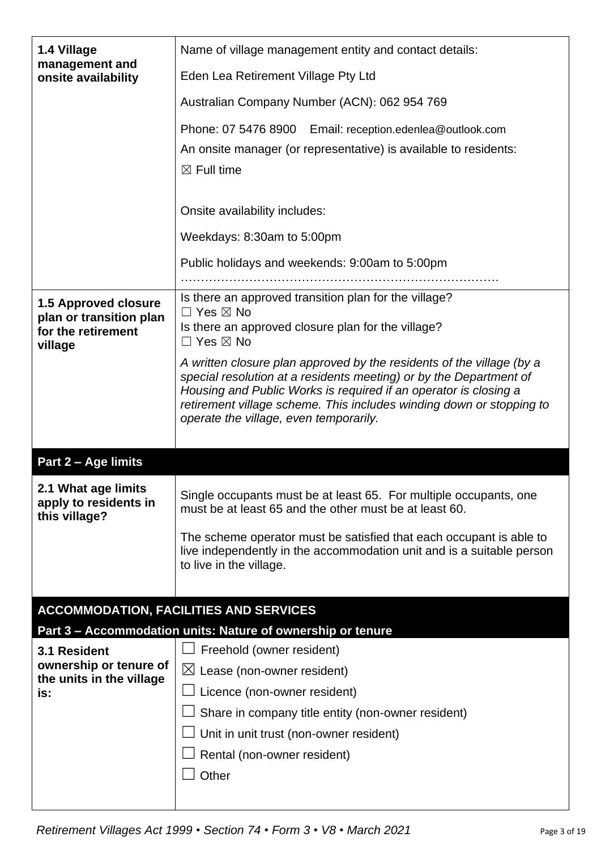| 1.4 Village                                   | Name of village management entity and contact details:                                                                                      |  |  |  |
|-----------------------------------------------|---------------------------------------------------------------------------------------------------------------------------------------------|--|--|--|
| management and<br>onsite availability         | Eden Lea Retirement Village Pty Ltd                                                                                                         |  |  |  |
|                                               | Australian Company Number (ACN): 062 954 769                                                                                                |  |  |  |
|                                               | Phone: 07 5476 8900 Email: reception.edenlea@outlook.com                                                                                    |  |  |  |
|                                               | An onsite manager (or representative) is available to residents:                                                                            |  |  |  |
|                                               | $\boxtimes$ Full time                                                                                                                       |  |  |  |
|                                               |                                                                                                                                             |  |  |  |
|                                               | Onsite availability includes:                                                                                                               |  |  |  |
|                                               | Weekdays: 8:30am to 5:00pm                                                                                                                  |  |  |  |
|                                               | Public holidays and weekends: 9:00am to 5:00pm                                                                                              |  |  |  |
|                                               |                                                                                                                                             |  |  |  |
| <b>1.5 Approved closure</b>                   | Is there an approved transition plan for the village?<br>$\Box$ Yes $\boxtimes$ No                                                          |  |  |  |
| plan or transition plan<br>for the retirement | Is there an approved closure plan for the village?                                                                                          |  |  |  |
| village                                       | $\Box$ Yes $\boxtimes$ No                                                                                                                   |  |  |  |
|                                               | A written closure plan approved by the residents of the village (by a<br>special resolution at a residents meeting) or by the Department of |  |  |  |
|                                               | Housing and Public Works is required if an operator is closing a                                                                            |  |  |  |
|                                               | retirement village scheme. This includes winding down or stopping to<br>operate the village, even temporarily.                              |  |  |  |
|                                               |                                                                                                                                             |  |  |  |
|                                               |                                                                                                                                             |  |  |  |
|                                               |                                                                                                                                             |  |  |  |
| Part 2 - Age limits                           |                                                                                                                                             |  |  |  |
| 2.1 What age limits                           | Single occupants must be at least 65. For multiple occupants, one                                                                           |  |  |  |
| apply to residents in<br>this village?        | must be at least 65 and the other must be at least 60.                                                                                      |  |  |  |
|                                               | The scheme operator must be satisfied that each occupant is able to                                                                         |  |  |  |
|                                               | live independently in the accommodation unit and is a suitable person                                                                       |  |  |  |
|                                               | to live in the village.                                                                                                                     |  |  |  |
|                                               |                                                                                                                                             |  |  |  |
|                                               | <b>ACCOMMODATION, FACILITIES AND SERVICES</b>                                                                                               |  |  |  |
| 3.1 Resident                                  | Part 3 - Accommodation units: Nature of ownership or tenure<br>Freehold (owner resident)                                                    |  |  |  |
| ownership or tenure of                        | $\boxtimes$ Lease (non-owner resident)                                                                                                      |  |  |  |
| the units in the village<br>is:               | Licence (non-owner resident)                                                                                                                |  |  |  |
|                                               | Share in company title entity (non-owner resident)                                                                                          |  |  |  |
|                                               | Unit in unit trust (non-owner resident)                                                                                                     |  |  |  |
|                                               | Rental (non-owner resident)                                                                                                                 |  |  |  |
|                                               | Other                                                                                                                                       |  |  |  |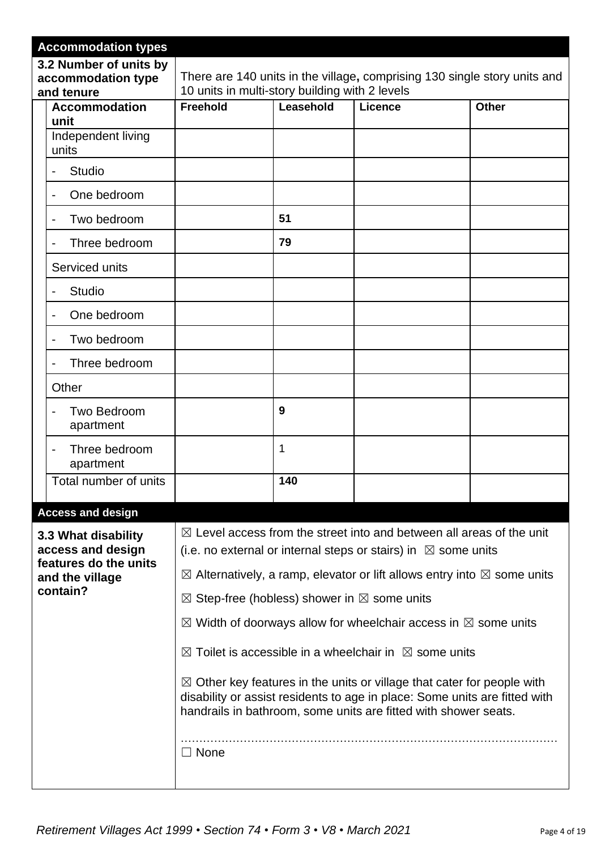|                                          | <b>Accommodation types</b>                                 |                                                                                                                                                                                                                                    |     |  |  |  |
|------------------------------------------|------------------------------------------------------------|------------------------------------------------------------------------------------------------------------------------------------------------------------------------------------------------------------------------------------|-----|--|--|--|
|                                          | 3.2 Number of units by<br>accommodation type<br>and tenure | There are 140 units in the village, comprising 130 single story units and<br>10 units in multi-story building with 2 levels                                                                                                        |     |  |  |  |
|                                          | <b>Accommodation</b><br>unit                               | <b>Freehold</b><br>Leasehold<br><b>Licence</b><br><b>Other</b>                                                                                                                                                                     |     |  |  |  |
|                                          | Independent living<br>units                                |                                                                                                                                                                                                                                    |     |  |  |  |
|                                          | <b>Studio</b>                                              |                                                                                                                                                                                                                                    |     |  |  |  |
|                                          | One bedroom                                                |                                                                                                                                                                                                                                    |     |  |  |  |
|                                          | Two bedroom                                                |                                                                                                                                                                                                                                    | 51  |  |  |  |
|                                          | Three bedroom                                              |                                                                                                                                                                                                                                    | 79  |  |  |  |
|                                          | Serviced units                                             |                                                                                                                                                                                                                                    |     |  |  |  |
|                                          | <b>Studio</b>                                              |                                                                                                                                                                                                                                    |     |  |  |  |
|                                          | One bedroom                                                |                                                                                                                                                                                                                                    |     |  |  |  |
|                                          | Two bedroom                                                |                                                                                                                                                                                                                                    |     |  |  |  |
|                                          | Three bedroom                                              |                                                                                                                                                                                                                                    |     |  |  |  |
|                                          | Other                                                      |                                                                                                                                                                                                                                    |     |  |  |  |
|                                          | Two Bedroom<br>apartment                                   |                                                                                                                                                                                                                                    | 9   |  |  |  |
|                                          | Three bedroom<br>apartment                                 |                                                                                                                                                                                                                                    | 1   |  |  |  |
|                                          | Total number of units                                      |                                                                                                                                                                                                                                    | 140 |  |  |  |
|                                          | <b>Access and design</b>                                   |                                                                                                                                                                                                                                    |     |  |  |  |
| 3.3 What disability<br>access and design |                                                            | $\boxtimes$ Level access from the street into and between all areas of the unit<br>(i.e. no external or internal steps or stairs) in $\boxtimes$ some units                                                                        |     |  |  |  |
|                                          | features do the units<br>and the village                   | $\boxtimes$ Alternatively, a ramp, elevator or lift allows entry into $\boxtimes$ some units                                                                                                                                       |     |  |  |  |
|                                          | contain?                                                   | $\boxtimes$ Step-free (hobless) shower in $\boxtimes$ some units                                                                                                                                                                   |     |  |  |  |
|                                          |                                                            | $\boxtimes$ Width of doorways allow for wheelchair access in $\boxtimes$ some units                                                                                                                                                |     |  |  |  |
|                                          |                                                            | $\boxtimes$ Toilet is accessible in a wheelchair in $\boxtimes$ some units                                                                                                                                                         |     |  |  |  |
|                                          |                                                            | $\boxtimes$ Other key features in the units or village that cater for people with<br>disability or assist residents to age in place: Some units are fitted with<br>handrails in bathroom, some units are fitted with shower seats. |     |  |  |  |
|                                          |                                                            | $\Box$ None                                                                                                                                                                                                                        |     |  |  |  |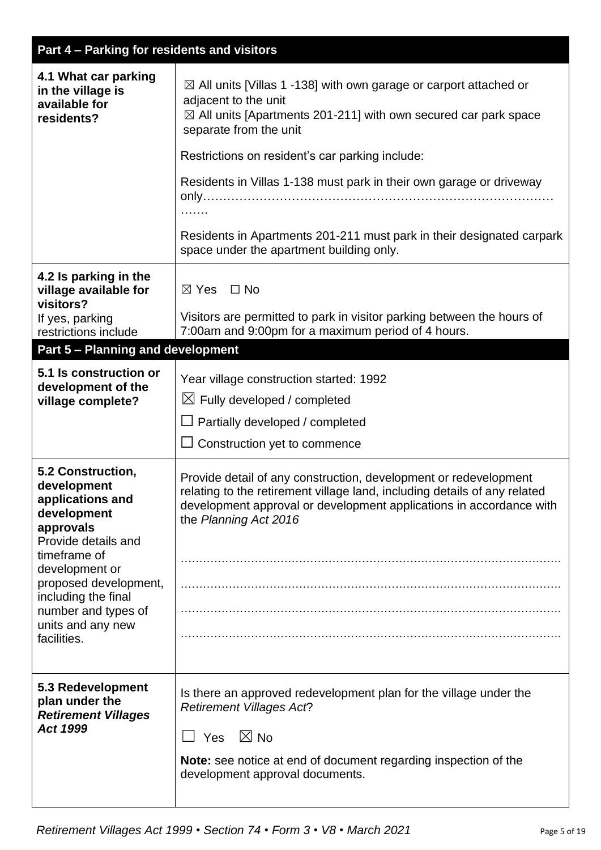|  | Part 4 – Parking for residents and visitors |
|--|---------------------------------------------|
|  |                                             |
|  |                                             |

| 4.1 What car parking<br>in the village is<br>available for<br>residents?                                                                                                                                                                             | $\boxtimes$ All units [Villas 1 -138] with own garage or carport attached or<br>adjacent to the unit<br>$\boxtimes$ All units [Apartments 201-211] with own secured car park space<br>separate from the unit<br>Restrictions on resident's car parking include:<br>Residents in Villas 1-138 must park in their own garage or driveway<br>Residents in Apartments 201-211 must park in their designated carpark<br>space under the apartment building only. |
|------------------------------------------------------------------------------------------------------------------------------------------------------------------------------------------------------------------------------------------------------|-------------------------------------------------------------------------------------------------------------------------------------------------------------------------------------------------------------------------------------------------------------------------------------------------------------------------------------------------------------------------------------------------------------------------------------------------------------|
| 4.2 Is parking in the<br>village available for<br>visitors?<br>If yes, parking                                                                                                                                                                       | $\boxtimes$ Yes $\Box$ No<br>Visitors are permitted to park in visitor parking between the hours of                                                                                                                                                                                                                                                                                                                                                         |
| restrictions include                                                                                                                                                                                                                                 | 7:00am and 9:00pm for a maximum period of 4 hours.                                                                                                                                                                                                                                                                                                                                                                                                          |
| Part 5 - Planning and development                                                                                                                                                                                                                    |                                                                                                                                                                                                                                                                                                                                                                                                                                                             |
| 5.1 Is construction or<br>development of the<br>village complete?                                                                                                                                                                                    | Year village construction started: 1992<br>$\boxtimes$ Fully developed / completed<br>Partially developed / completed<br>$\Box$ Construction yet to commence                                                                                                                                                                                                                                                                                                |
| 5.2 Construction,<br>development<br>applications and<br>development<br>approvals<br>Provide details and<br>timeframe of<br>development or<br>proposed development,<br>including the final<br>number and types of<br>units and any new<br>facilities. | Provide detail of any construction, development or redevelopment<br>relating to the retirement village land, including details of any related<br>development approval or development applications in accordance with<br>the Planning Act 2016                                                                                                                                                                                                               |
| 5.3 Redevelopment<br>plan under the<br><b>Retirement Villages</b><br><b>Act 1999</b>                                                                                                                                                                 | Is there an approved redevelopment plan for the village under the<br><b>Retirement Villages Act?</b><br>$\Box$ Yes $\ \boxtimes$ No<br>Note: see notice at end of document regarding inspection of the<br>development approval documents.                                                                                                                                                                                                                   |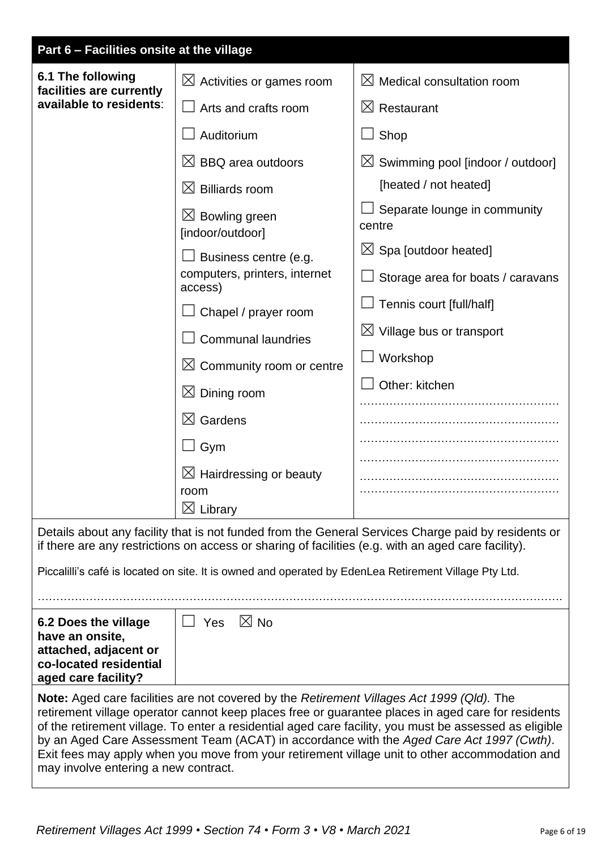| Part 6 - Facilities onsite at the village                                                                         |                                                                                                       |                                                                                                                                                                                                                                                                                                                                                                                                            |  |  |
|-------------------------------------------------------------------------------------------------------------------|-------------------------------------------------------------------------------------------------------|------------------------------------------------------------------------------------------------------------------------------------------------------------------------------------------------------------------------------------------------------------------------------------------------------------------------------------------------------------------------------------------------------------|--|--|
| 6.1 The following<br>facilities are currently                                                                     | $\boxtimes$ Activities or games room                                                                  | $\bowtie$<br>Medical consultation room                                                                                                                                                                                                                                                                                                                                                                     |  |  |
| available to residents:                                                                                           | Arts and crafts room                                                                                  | $\boxtimes$ Restaurant                                                                                                                                                                                                                                                                                                                                                                                     |  |  |
|                                                                                                                   | Auditorium                                                                                            | Shop                                                                                                                                                                                                                                                                                                                                                                                                       |  |  |
|                                                                                                                   | $\boxtimes$ BBQ area outdoors                                                                         | $\boxtimes$ Swimming pool [indoor / outdoor]                                                                                                                                                                                                                                                                                                                                                               |  |  |
|                                                                                                                   | $\boxtimes$ Billiards room                                                                            | [heated / not heated]                                                                                                                                                                                                                                                                                                                                                                                      |  |  |
|                                                                                                                   | $\boxtimes$ Bowling green<br>[indoor/outdoor]                                                         | Separate lounge in community<br>centre                                                                                                                                                                                                                                                                                                                                                                     |  |  |
|                                                                                                                   | Business centre (e.g.                                                                                 | $\boxtimes$ Spa [outdoor heated]                                                                                                                                                                                                                                                                                                                                                                           |  |  |
|                                                                                                                   | computers, printers, internet<br>access)                                                              | Storage area for boats / caravans                                                                                                                                                                                                                                                                                                                                                                          |  |  |
|                                                                                                                   | Chapel / prayer room                                                                                  | Tennis court [full/half]                                                                                                                                                                                                                                                                                                                                                                                   |  |  |
|                                                                                                                   | <b>Communal laundries</b>                                                                             | $\boxtimes$ Village bus or transport                                                                                                                                                                                                                                                                                                                                                                       |  |  |
|                                                                                                                   | $\boxtimes$ Community room or centre                                                                  | Workshop                                                                                                                                                                                                                                                                                                                                                                                                   |  |  |
|                                                                                                                   | $\boxtimes$<br>Dining room                                                                            | Other: kitchen                                                                                                                                                                                                                                                                                                                                                                                             |  |  |
|                                                                                                                   | $\boxtimes$<br>Gardens                                                                                |                                                                                                                                                                                                                                                                                                                                                                                                            |  |  |
|                                                                                                                   | Gym                                                                                                   |                                                                                                                                                                                                                                                                                                                                                                                                            |  |  |
|                                                                                                                   | $\boxtimes$ Hairdressing or beauty<br>room<br>$\boxtimes$ Library                                     |                                                                                                                                                                                                                                                                                                                                                                                                            |  |  |
|                                                                                                                   |                                                                                                       | Details about any facility that is not funded from the General Services Charge paid by residents or                                                                                                                                                                                                                                                                                                        |  |  |
|                                                                                                                   | if there are any restrictions on access or sharing of facilities (e.g. with an aged care facility).   |                                                                                                                                                                                                                                                                                                                                                                                                            |  |  |
|                                                                                                                   | Piccalilli's café is located on site. It is owned and operated by EdenLea Retirement Village Pty Ltd. |                                                                                                                                                                                                                                                                                                                                                                                                            |  |  |
|                                                                                                                   |                                                                                                       |                                                                                                                                                                                                                                                                                                                                                                                                            |  |  |
| 6.2 Does the village<br>have an onsite,<br>attached, adjacent or<br>co-located residential<br>aged care facility? | $\boxtimes$ No<br>Yes                                                                                 |                                                                                                                                                                                                                                                                                                                                                                                                            |  |  |
| may involve entering a new contract.                                                                              | <b>Note:</b> Aged care facilities are not covered by the Retirement Villages Act 1999 (Qld). The      | retirement village operator cannot keep places free or guarantee places in aged care for residents<br>of the retirement village. To enter a residential aged care facility, you must be assessed as eligible<br>by an Aged Care Assessment Team (ACAT) in accordance with the Aged Care Act 1997 (Cwth).<br>Exit fees may apply when you move from your retirement village unit to other accommodation and |  |  |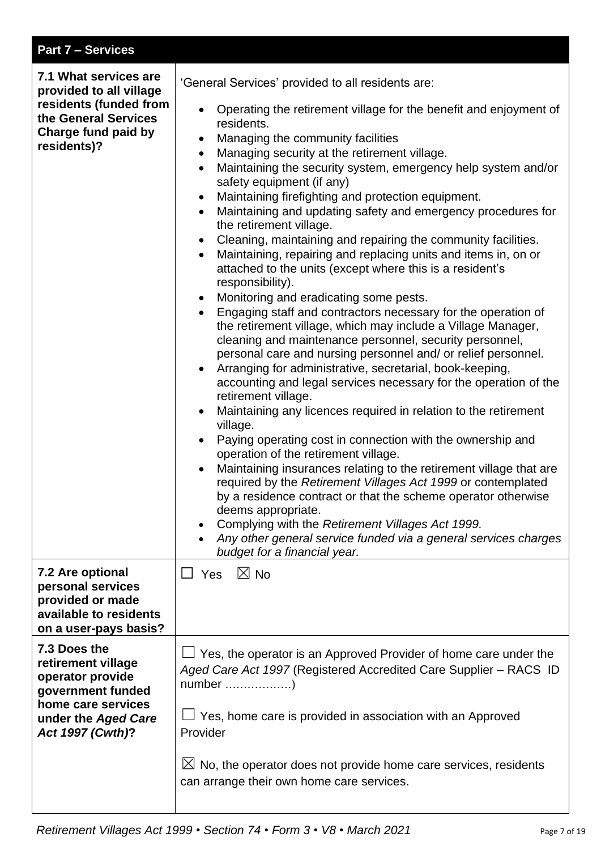| <b>Part 7 - Services</b>                                                                                                                            |                                                                                                                                                                                                                                                                                                                                                                                                                                                                                                                                                                                                                                                                                                                                                                                                                                                                                                                                                                                                                                                                                                                                                                                                                                                                                                                                                                                                                                                                                                                                                                                                                                                                                                                                                                                                                                                                                                     |
|-----------------------------------------------------------------------------------------------------------------------------------------------------|-----------------------------------------------------------------------------------------------------------------------------------------------------------------------------------------------------------------------------------------------------------------------------------------------------------------------------------------------------------------------------------------------------------------------------------------------------------------------------------------------------------------------------------------------------------------------------------------------------------------------------------------------------------------------------------------------------------------------------------------------------------------------------------------------------------------------------------------------------------------------------------------------------------------------------------------------------------------------------------------------------------------------------------------------------------------------------------------------------------------------------------------------------------------------------------------------------------------------------------------------------------------------------------------------------------------------------------------------------------------------------------------------------------------------------------------------------------------------------------------------------------------------------------------------------------------------------------------------------------------------------------------------------------------------------------------------------------------------------------------------------------------------------------------------------------------------------------------------------------------------------------------------------|
| 7.1 What services are<br>provided to all village<br>residents (funded from<br>the General Services<br>Charge fund paid by<br>residents)?            | 'General Services' provided to all residents are:<br>Operating the retirement village for the benefit and enjoyment of<br>$\bullet$<br>residents.<br>Managing the community facilities<br>$\bullet$<br>Managing security at the retirement village.<br>$\bullet$<br>Maintaining the security system, emergency help system and/or<br>$\bullet$<br>safety equipment (if any)<br>Maintaining firefighting and protection equipment.<br>$\bullet$<br>Maintaining and updating safety and emergency procedures for<br>$\bullet$<br>the retirement village.<br>Cleaning, maintaining and repairing the community facilities.<br>$\bullet$<br>Maintaining, repairing and replacing units and items in, on or<br>$\bullet$<br>attached to the units (except where this is a resident's<br>responsibility).<br>Monitoring and eradicating some pests.<br>$\bullet$<br>Engaging staff and contractors necessary for the operation of<br>$\bullet$<br>the retirement village, which may include a Village Manager,<br>cleaning and maintenance personnel, security personnel,<br>personal care and nursing personnel and/ or relief personnel.<br>Arranging for administrative, secretarial, book-keeping,<br>$\bullet$<br>accounting and legal services necessary for the operation of the<br>retirement village.<br>Maintaining any licences required in relation to the retirement<br>$\bullet$<br>village.<br>Paying operating cost in connection with the ownership and<br>operation of the retirement village.<br>Maintaining insurances relating to the retirement village that are<br>required by the Retirement Villages Act 1999 or contemplated<br>by a residence contract or that the scheme operator otherwise<br>deems appropriate.<br>Complying with the Retirement Villages Act 1999.<br>٠<br>Any other general service funded via a general services charges<br>budget for a financial year. |
| 7.2 Are optional<br>personal services<br>provided or made<br>available to residents<br>on a user-pays basis?                                        | $\boxtimes$ No<br>$\square$ Yes                                                                                                                                                                                                                                                                                                                                                                                                                                                                                                                                                                                                                                                                                                                                                                                                                                                                                                                                                                                                                                                                                                                                                                                                                                                                                                                                                                                                                                                                                                                                                                                                                                                                                                                                                                                                                                                                     |
| 7.3 Does the<br>retirement village<br>operator provide<br>government funded<br>home care services<br>under the Aged Care<br><b>Act 1997 (Cwth)?</b> | Yes, the operator is an Approved Provider of home care under the<br>Aged Care Act 1997 (Registered Accredited Care Supplier – RACS ID<br>Yes, home care is provided in association with an Approved<br>Provider<br>$\boxtimes$ No, the operator does not provide home care services, residents<br>can arrange their own home care services.                                                                                                                                                                                                                                                                                                                                                                                                                                                                                                                                                                                                                                                                                                                                                                                                                                                                                                                                                                                                                                                                                                                                                                                                                                                                                                                                                                                                                                                                                                                                                         |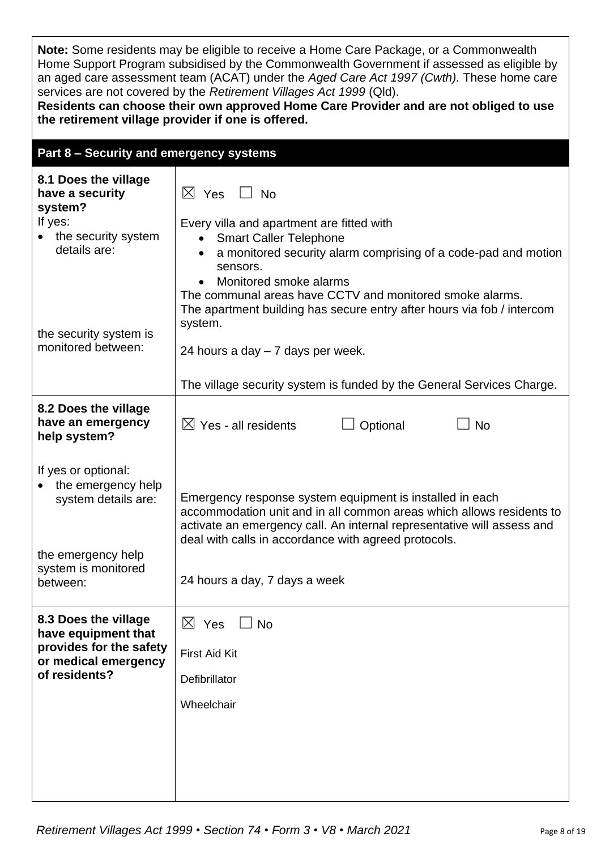**Note:** Some residents may be eligible to receive a Home Care Package, or a Commonwealth Home Support Program subsidised by the Commonwealth Government if assessed as eligible by an aged care assessment team (ACAT) under the *Aged Care Act 1997 (Cwth).* These home care services are not covered by the *Retirement Villages Act 1999* (Qld).

**Residents can choose their own approved Home Care Provider and are not obliged to use the retirement village provider if one is offered.**

| Part 8 - Security and emergency systems                                                                         |                                                                                                                                                                                                                                                                    |  |  |  |
|-----------------------------------------------------------------------------------------------------------------|--------------------------------------------------------------------------------------------------------------------------------------------------------------------------------------------------------------------------------------------------------------------|--|--|--|
| 8.1 Does the village<br>have a security<br>system?<br>If yes:<br>the security system<br>details are:            | $\boxtimes$ Yes $\Box$ No<br>Every villa and apartment are fitted with<br><b>Smart Caller Telephone</b><br>$\bullet$<br>a monitored security alarm comprising of a code-pad and motion<br>sensors.<br>Monitored smoke alarms                                       |  |  |  |
| the security system is<br>monitored between:                                                                    | The communal areas have CCTV and monitored smoke alarms.<br>The apartment building has secure entry after hours via fob / intercom<br>system.<br>24 hours a day - 7 days per week.<br>The village security system is funded by the General Services Charge.        |  |  |  |
| 8.2 Does the village<br>have an emergency<br>help system?                                                       | $\boxtimes$ Yes - all residents<br>Optional<br><b>No</b>                                                                                                                                                                                                           |  |  |  |
| If yes or optional:<br>the emergency help<br>system details are:                                                | Emergency response system equipment is installed in each<br>accommodation unit and in all common areas which allows residents to<br>activate an emergency call. An internal representative will assess and<br>deal with calls in accordance with agreed protocols. |  |  |  |
| the emergency help<br>system is monitored<br>between:                                                           | 24 hours a day, 7 days a week                                                                                                                                                                                                                                      |  |  |  |
| 8.3 Does the village<br>have equipment that<br>provides for the safety<br>or medical emergency<br>of residents? | $\boxtimes$ Yes $\Box$ No<br><b>First Aid Kit</b><br>Defibrillator<br>Wheelchair                                                                                                                                                                                   |  |  |  |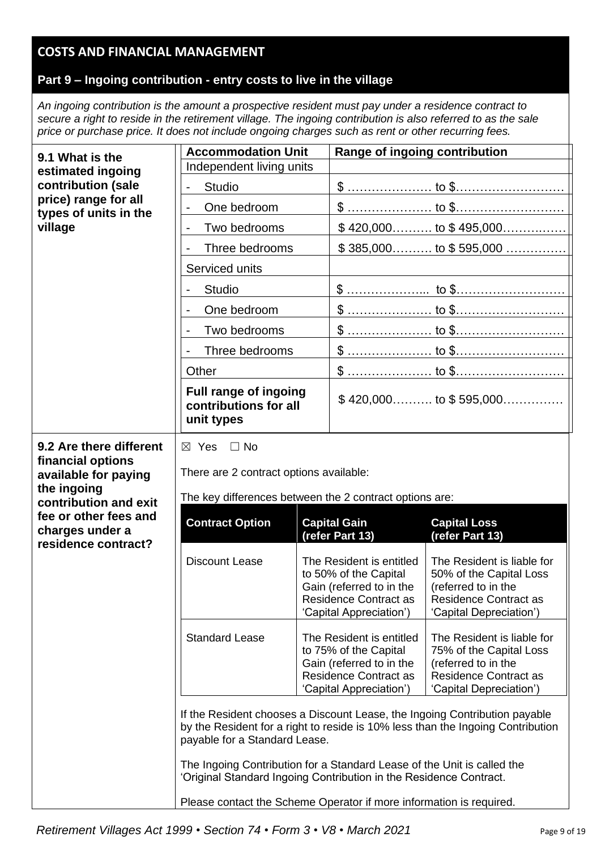## **COSTS AND FINANCIAL MANAGEMENT**

### **Part 9 – Ingoing contribution - entry costs to live in the village**

*An ingoing contribution is the amount a prospective resident must pay under a residence contract to secure a right to reside in the retirement village. The ingoing contribution is also referred to as the sale price or purchase price. It does not include ongoing charges such as rent or other recurring fees.*

| 9.1 What is the                                                         | <b>Accommodation Unit</b>                                                                                                                 |  | Range of ingoing contribution                            |                                                         |
|-------------------------------------------------------------------------|-------------------------------------------------------------------------------------------------------------------------------------------|--|----------------------------------------------------------|---------------------------------------------------------|
| estimated ingoing                                                       | Independent living units                                                                                                                  |  |                                                          |                                                         |
| contribution (sale                                                      | <b>Studio</b><br>$\overline{\phantom{0}}$                                                                                                 |  |                                                          |                                                         |
| price) range for all<br>types of units in the                           | One bedroom<br>$\overline{a}$                                                                                                             |  |                                                          |                                                         |
| village                                                                 | Two bedrooms                                                                                                                              |  |                                                          |                                                         |
|                                                                         | Three bedrooms                                                                                                                            |  |                                                          | $$385,000$ to $$595,000$                                |
|                                                                         | Serviced units                                                                                                                            |  |                                                          |                                                         |
|                                                                         | <b>Studio</b>                                                                                                                             |  |                                                          |                                                         |
|                                                                         | One bedroom                                                                                                                               |  |                                                          |                                                         |
|                                                                         | Two bedrooms                                                                                                                              |  |                                                          |                                                         |
|                                                                         | Three bedrooms                                                                                                                            |  |                                                          |                                                         |
|                                                                         | Other                                                                                                                                     |  |                                                          |                                                         |
|                                                                         | <b>Full range of ingoing</b><br>contributions for all<br>unit types                                                                       |  |                                                          | $$420,000$ to $$595,000$                                |
| 9.2 Are there different                                                 | $\boxtimes$ Yes<br>$\Box$ No                                                                                                              |  |                                                          |                                                         |
| financial options                                                       |                                                                                                                                           |  |                                                          |                                                         |
| available for paying<br>the ingoing                                     | There are 2 contract options available:                                                                                                   |  |                                                          |                                                         |
| contribution and exit                                                   | The key differences between the 2 contract options are:                                                                                   |  |                                                          |                                                         |
| fee or other fees and<br>charges under a                                | <b>Contract Option</b>                                                                                                                    |  | <b>Capital Gain</b>                                      | <b>Capital Loss</b>                                     |
| residence contract?                                                     |                                                                                                                                           |  | (refer Part 13)                                          | (refer Part 13)                                         |
|                                                                         | <b>Discount Lease</b>                                                                                                                     |  | The Resident is entitled<br>to 50% of the Capital        | The Resident is liable for<br>50% of the Capital Loss   |
|                                                                         |                                                                                                                                           |  | Gain (referred to in the                                 | (referred to in the                                     |
|                                                                         |                                                                                                                                           |  | <b>Residence Contract as</b><br>'Capital Appreciation')  | <b>Residence Contract as</b><br>'Capital Depreciation') |
|                                                                         | <b>Standard Lease</b>                                                                                                                     |  | The Resident is entitled                                 | The Resident is liable for                              |
|                                                                         |                                                                                                                                           |  | to 75% of the Capital                                    | 75% of the Capital Loss                                 |
|                                                                         |                                                                                                                                           |  | Gain (referred to in the<br><b>Residence Contract as</b> | (referred to in the<br><b>Residence Contract as</b>     |
|                                                                         |                                                                                                                                           |  | 'Capital Appreciation')                                  | 'Capital Depreciation')                                 |
|                                                                         | If the Resident chooses a Discount Lease, the Ingoing Contribution payable                                                                |  |                                                          |                                                         |
|                                                                         | by the Resident for a right to reside is 10% less than the Ingoing Contribution<br>payable for a Standard Lease.                          |  |                                                          |                                                         |
| The Ingoing Contribution for a Standard Lease of the Unit is called the |                                                                                                                                           |  |                                                          |                                                         |
|                                                                         | 'Original Standard Ingoing Contribution in the Residence Contract.<br>Please contact the Scheme Operator if more information is required. |  |                                                          |                                                         |
|                                                                         |                                                                                                                                           |  |                                                          |                                                         |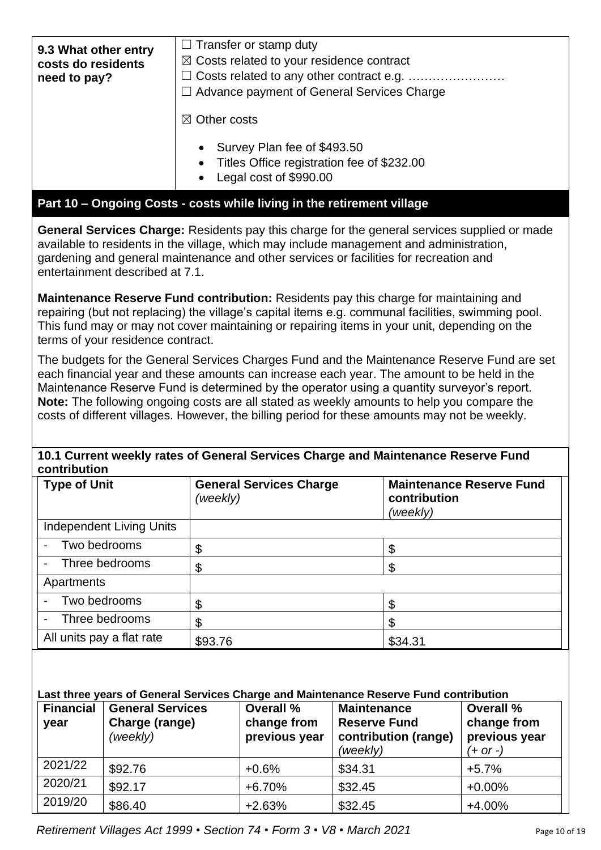| 9.3 What other entry<br>costs do residents<br>need to pay? | $\Box$ Transfer or stamp duty<br>$\boxtimes$ Costs related to your residence contract<br>$\Box$ Advance payment of General Services Charge<br>$\boxtimes$ Other costs |
|------------------------------------------------------------|-----------------------------------------------------------------------------------------------------------------------------------------------------------------------|
|                                                            | • Survey Plan fee of \$493.50<br>• Titles Office registration fee of \$232.00<br>Legal cost of \$990.00<br>$\bullet$                                                  |

#### **Part 10 – Ongoing Costs - costs while living in the retirement village**

**General Services Charge:** Residents pay this charge for the general services supplied or made available to residents in the village, which may include management and administration, gardening and general maintenance and other services or facilities for recreation and entertainment described at 7.1.

**Maintenance Reserve Fund contribution:** Residents pay this charge for maintaining and repairing (but not replacing) the village's capital items e.g. communal facilities, swimming pool. This fund may or may not cover maintaining or repairing items in your unit, depending on the terms of your residence contract.

The budgets for the General Services Charges Fund and the Maintenance Reserve Fund are set each financial year and these amounts can increase each year. The amount to be held in the Maintenance Reserve Fund is determined by the operator using a quantity surveyor's report. **Note:** The following ongoing costs are all stated as weekly amounts to help you compare the costs of different villages. However, the billing period for these amounts may not be weekly.

#### **10.1 Current weekly rates of General Services Charge and Maintenance Reserve Fund contribution**

| <b>Type of Unit</b>                        | <b>General Services Charge</b><br>(weekly) | <b>Maintenance Reserve Fund</b><br>contribution<br>(weekly) |
|--------------------------------------------|--------------------------------------------|-------------------------------------------------------------|
| <b>Independent Living Units</b>            |                                            |                                                             |
| Two bedrooms<br>$\blacksquare$             | \$                                         | \$                                                          |
| Three bedrooms<br>$\overline{\phantom{0}}$ |                                            | \$                                                          |
| Apartments                                 |                                            |                                                             |
| Two bedrooms<br>$\blacksquare$             | \$                                         | \$                                                          |
| Three bedrooms<br>$\overline{\phantom{a}}$ | \$                                         | \$                                                          |
| All units pay a flat rate                  | \$93.76                                    | \$34.31                                                     |

#### **Last three years of General Services Charge and Maintenance Reserve Fund contribution**

| <b>Financial</b><br>year | <b>General Services</b><br>Charge (range)<br>(weekly) | <b>Overall %</b><br>change from<br>previous year | <b>Maintenance</b><br><b>Reserve Fund</b><br>contribution (range)<br>(weekly) | Overall %<br>change from<br>previous year<br>$(+ or -)$ |
|--------------------------|-------------------------------------------------------|--------------------------------------------------|-------------------------------------------------------------------------------|---------------------------------------------------------|
| 2021/22                  | \$92.76                                               | $+0.6%$                                          | \$34.31                                                                       | $+5.7%$                                                 |
| 2020/21                  | \$92.17                                               | $+6.70%$                                         | \$32.45                                                                       | $+0.00%$                                                |
| 2019/20                  | \$86.40                                               | $+2.63%$                                         | \$32.45                                                                       | $+4.00%$                                                |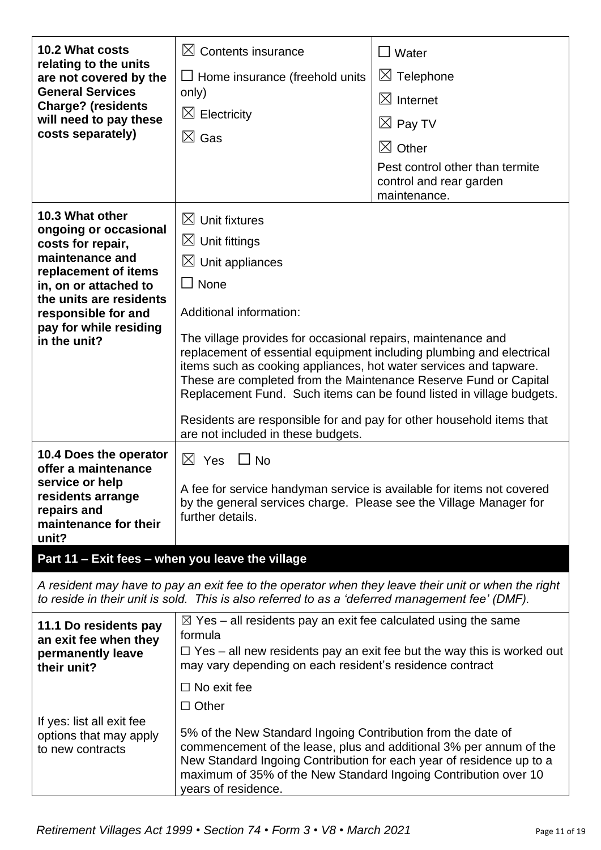| 10.2 What costs<br>relating to the units<br>are not covered by the<br><b>General Services</b><br><b>Charge? (residents</b><br>will need to pay these<br>costs separately)                                                     | $\boxtimes$ Contents insurance<br>$\Box$ Home insurance (freehold units<br>only)<br>$\boxtimes$ Electricity<br>$\boxtimes$ Gas                                                                                                                                                                                                                                                                                                                                                                                                                                                                         | $\Box$ Water<br>$\boxtimes$ Telephone<br>$\boxtimes$ Internet<br>$\boxtimes$ Pay TV<br>$\boxtimes$ Other<br>Pest control other than termite<br>control and rear garden<br>maintenance. |
|-------------------------------------------------------------------------------------------------------------------------------------------------------------------------------------------------------------------------------|--------------------------------------------------------------------------------------------------------------------------------------------------------------------------------------------------------------------------------------------------------------------------------------------------------------------------------------------------------------------------------------------------------------------------------------------------------------------------------------------------------------------------------------------------------------------------------------------------------|----------------------------------------------------------------------------------------------------------------------------------------------------------------------------------------|
| 10.3 What other<br>ongoing or occasional<br>costs for repair,<br>maintenance and<br>replacement of items<br>in, on or attached to<br>the units are residents<br>responsible for and<br>pay for while residing<br>in the unit? | $\boxtimes$ Unit fixtures<br>$\boxtimes$ Unit fittings<br>$\boxtimes$ Unit appliances<br>$\Box$ None<br>Additional information:<br>The village provides for occasional repairs, maintenance and<br>replacement of essential equipment including plumbing and electrical<br>items such as cooking appliances, hot water services and tapware.<br>These are completed from the Maintenance Reserve Fund or Capital<br>Replacement Fund. Such items can be found listed in village budgets.<br>Residents are responsible for and pay for other household items that<br>are not included in these budgets. |                                                                                                                                                                                        |
| 10.4 Does the operator<br>offer a maintenance<br>service or help<br>residents arrange<br>repairs and<br>maintenance for their<br>unit?                                                                                        | $\boxtimes$ Yes<br>$\Box$ No<br>A fee for service handyman service is available for items not covered<br>by the general services charge. Please see the Village Manager for<br>further details.                                                                                                                                                                                                                                                                                                                                                                                                        |                                                                                                                                                                                        |
| Part 11 - Exit fees - when you leave the village                                                                                                                                                                              |                                                                                                                                                                                                                                                                                                                                                                                                                                                                                                                                                                                                        |                                                                                                                                                                                        |
|                                                                                                                                                                                                                               | A resident may have to pay an exit fee to the operator when they leave their unit or when the right<br>to reside in their unit is sold. This is also referred to as a 'deferred management fee' (DMF).                                                                                                                                                                                                                                                                                                                                                                                                 |                                                                                                                                                                                        |
| 11.1 Do residents pay<br>an exit fee when they<br>permanently leave<br>their unit?                                                                                                                                            | $\boxtimes$ Yes – all residents pay an exit fee calculated using the same<br>formula<br>may vary depending on each resident's residence contract<br>$\Box$ No exit fee<br>$\Box$ Other                                                                                                                                                                                                                                                                                                                                                                                                                 | $\Box$ Yes – all new residents pay an exit fee but the way this is worked out                                                                                                          |
| If yes: list all exit fee<br>options that may apply<br>to new contracts                                                                                                                                                       | 5% of the New Standard Ingoing Contribution from the date of<br>commencement of the lease, plus and additional 3% per annum of the<br>New Standard Ingoing Contribution for each year of residence up to a<br>maximum of 35% of the New Standard Ingoing Contribution over 10<br>years of residence.                                                                                                                                                                                                                                                                                                   |                                                                                                                                                                                        |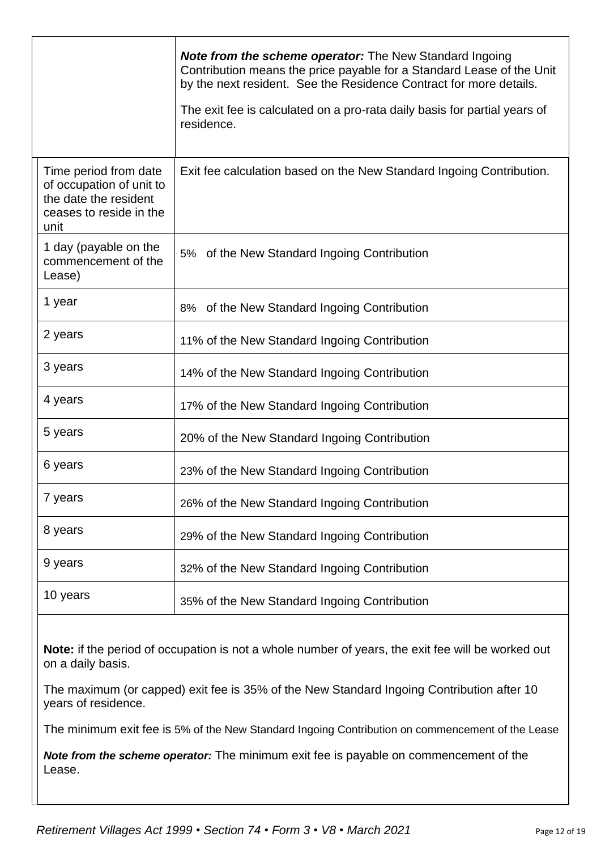|                                                                                                               | <b>Note from the scheme operator:</b> The New Standard Ingoing<br>Contribution means the price payable for a Standard Lease of the Unit<br>by the next resident. See the Residence Contract for more details.<br>The exit fee is calculated on a pro-rata daily basis for partial years of<br>residence. |
|---------------------------------------------------------------------------------------------------------------|----------------------------------------------------------------------------------------------------------------------------------------------------------------------------------------------------------------------------------------------------------------------------------------------------------|
| Time period from date<br>of occupation of unit to<br>the date the resident<br>ceases to reside in the<br>unit | Exit fee calculation based on the New Standard Ingoing Contribution.                                                                                                                                                                                                                                     |
| 1 day (payable on the<br>commencement of the<br>Lease)                                                        | 5% of the New Standard Ingoing Contribution                                                                                                                                                                                                                                                              |
| 1 year                                                                                                        | 8% of the New Standard Ingoing Contribution                                                                                                                                                                                                                                                              |
| 2 years                                                                                                       | 11% of the New Standard Ingoing Contribution                                                                                                                                                                                                                                                             |
| 3 years                                                                                                       | 14% of the New Standard Ingoing Contribution                                                                                                                                                                                                                                                             |
| 4 years                                                                                                       | 17% of the New Standard Ingoing Contribution                                                                                                                                                                                                                                                             |
| 5 years                                                                                                       | 20% of the New Standard Ingoing Contribution                                                                                                                                                                                                                                                             |
| 6 years                                                                                                       | 23% of the New Standard Ingoing Contribution                                                                                                                                                                                                                                                             |
| 7 years                                                                                                       | 26% of the New Standard Ingoing Contribution                                                                                                                                                                                                                                                             |
| 8 years                                                                                                       | 29% of the New Standard Ingoing Contribution                                                                                                                                                                                                                                                             |
| 9 years                                                                                                       | 32% of the New Standard Ingoing Contribution                                                                                                                                                                                                                                                             |
| 10 years                                                                                                      | 35% of the New Standard Ingoing Contribution                                                                                                                                                                                                                                                             |

**Note:** if the period of occupation is not a whole number of years, the exit fee will be worked out on a daily basis.

The maximum (or capped) exit fee is 35% of the New Standard Ingoing Contribution after 10 years of residence.

The minimum exit fee is 5% of the New Standard Ingoing Contribution on commencement of the Lease

*Note from the scheme operator:* The minimum exit fee is payable on commencement of the Lease.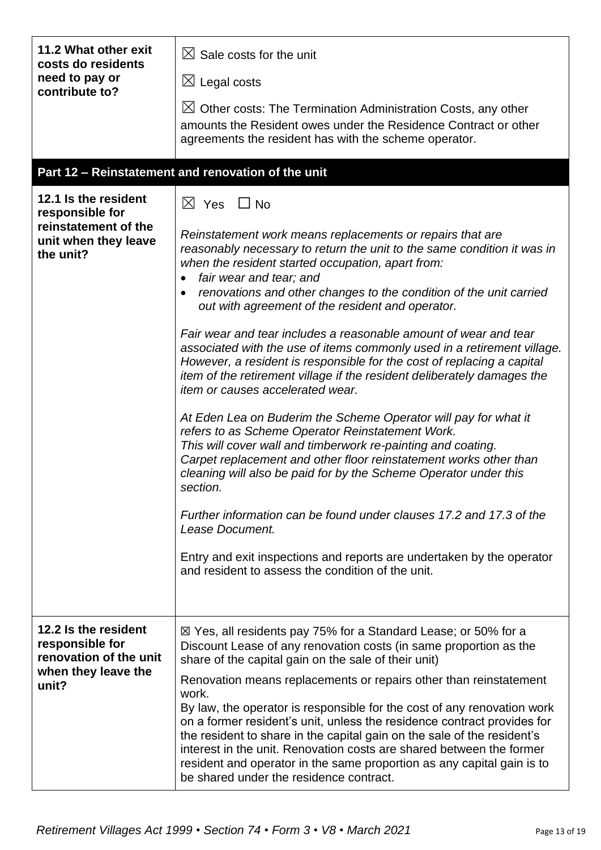| 11.2 What other exit<br>costs do residents<br>need to pay or<br>contribute to?                       | $\boxtimes$ Sale costs for the unit<br>$\boxtimes$ Legal costs<br>$\boxtimes$ Other costs: The Termination Administration Costs, any other<br>amounts the Resident owes under the Residence Contract or other<br>agreements the resident has with the scheme operator.                                                                                                                                                                                                                                                                                                                                                                                                                                                                                                                                                                                                                                                                                                                                                                                                                                                                                                                                                                                                                  |
|------------------------------------------------------------------------------------------------------|-----------------------------------------------------------------------------------------------------------------------------------------------------------------------------------------------------------------------------------------------------------------------------------------------------------------------------------------------------------------------------------------------------------------------------------------------------------------------------------------------------------------------------------------------------------------------------------------------------------------------------------------------------------------------------------------------------------------------------------------------------------------------------------------------------------------------------------------------------------------------------------------------------------------------------------------------------------------------------------------------------------------------------------------------------------------------------------------------------------------------------------------------------------------------------------------------------------------------------------------------------------------------------------------|
|                                                                                                      | Part 12 - Reinstatement and renovation of the unit                                                                                                                                                                                                                                                                                                                                                                                                                                                                                                                                                                                                                                                                                                                                                                                                                                                                                                                                                                                                                                                                                                                                                                                                                                      |
| 12.1 Is the resident<br>responsible for<br>reinstatement of the<br>unit when they leave<br>the unit? | $\boxtimes$ Yes $\Box$ No<br>Reinstatement work means replacements or repairs that are<br>reasonably necessary to return the unit to the same condition it was in<br>when the resident started occupation, apart from:<br>fair wear and tear; and<br>renovations and other changes to the condition of the unit carried<br>out with agreement of the resident and operator.<br>Fair wear and tear includes a reasonable amount of wear and tear<br>associated with the use of items commonly used in a retirement village.<br>However, a resident is responsible for the cost of replacing a capital<br>item of the retirement village if the resident deliberately damages the<br>item or causes accelerated wear.<br>At Eden Lea on Buderim the Scheme Operator will pay for what it<br>refers to as Scheme Operator Reinstatement Work.<br>This will cover wall and timberwork re-painting and coating.<br>Carpet replacement and other floor reinstatement works other than<br>cleaning will also be paid for by the Scheme Operator under this<br>section.<br>Further information can be found under clauses 17.2 and 17.3 of the<br>Lease Document.<br>Entry and exit inspections and reports are undertaken by the operator<br>and resident to assess the condition of the unit. |
| 12.2 Is the resident<br>responsible for<br>renovation of the unit<br>when they leave the<br>unit?    | ⊠ Yes, all residents pay 75% for a Standard Lease; or 50% for a<br>Discount Lease of any renovation costs (in same proportion as the<br>share of the capital gain on the sale of their unit)<br>Renovation means replacements or repairs other than reinstatement<br>work.<br>By law, the operator is responsible for the cost of any renovation work<br>on a former resident's unit, unless the residence contract provides for<br>the resident to share in the capital gain on the sale of the resident's<br>interest in the unit. Renovation costs are shared between the former<br>resident and operator in the same proportion as any capital gain is to<br>be shared under the residence contract.                                                                                                                                                                                                                                                                                                                                                                                                                                                                                                                                                                                |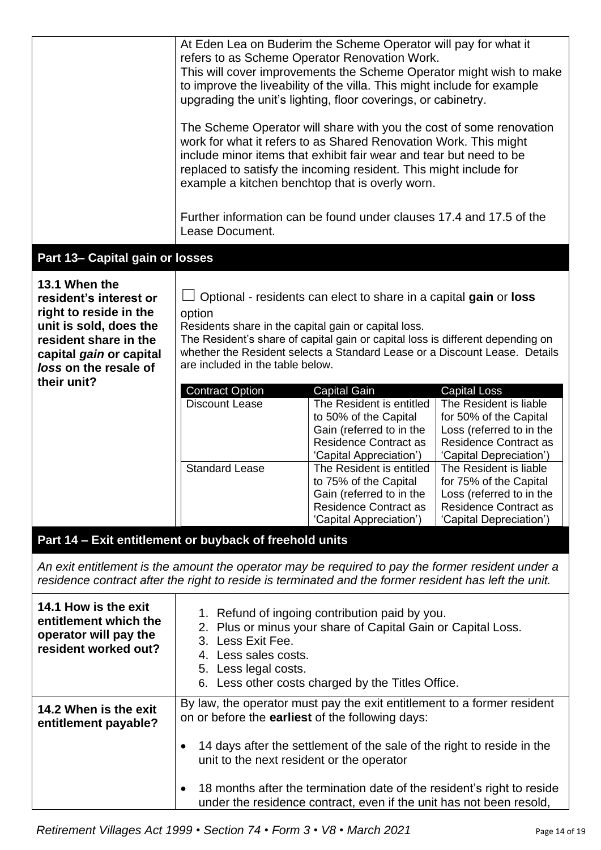|                                                                                                                                                                          | Lease Document.                                                                                                                                                                                                                          | At Eden Lea on Buderim the Scheme Operator will pay for what it<br>refers to as Scheme Operator Renovation Work.<br>to improve the liveability of the villa. This might include for example<br>upgrading the unit's lighting, floor coverings, or cabinetry.<br>The Scheme Operator will share with you the cost of some renovation<br>work for what it refers to as Shared Renovation Work. This might<br>include minor items that exhibit fair wear and tear but need to be<br>replaced to satisfy the incoming resident. This might include for<br>example a kitchen benchtop that is overly worn.<br>Further information can be found under clauses 17.4 and 17.5 of the | This will cover improvements the Scheme Operator might wish to make                                                                                                                                                                                                     |
|--------------------------------------------------------------------------------------------------------------------------------------------------------------------------|------------------------------------------------------------------------------------------------------------------------------------------------------------------------------------------------------------------------------------------|------------------------------------------------------------------------------------------------------------------------------------------------------------------------------------------------------------------------------------------------------------------------------------------------------------------------------------------------------------------------------------------------------------------------------------------------------------------------------------------------------------------------------------------------------------------------------------------------------------------------------------------------------------------------------|-------------------------------------------------------------------------------------------------------------------------------------------------------------------------------------------------------------------------------------------------------------------------|
| Part 13- Capital gain or losses                                                                                                                                          |                                                                                                                                                                                                                                          |                                                                                                                                                                                                                                                                                                                                                                                                                                                                                                                                                                                                                                                                              |                                                                                                                                                                                                                                                                         |
| 13.1 When the<br>resident's interest or<br>right to reside in the<br>unit is sold, does the<br>resident share in the<br>capital gain or capital<br>loss on the resale of | option<br>Residents share in the capital gain or capital loss.<br>are included in the table below.                                                                                                                                       | Optional - residents can elect to share in a capital gain or loss<br>The Resident's share of capital gain or capital loss is different depending on<br>whether the Resident selects a Standard Lease or a Discount Lease. Details                                                                                                                                                                                                                                                                                                                                                                                                                                            |                                                                                                                                                                                                                                                                         |
| their unit?                                                                                                                                                              | <b>Contract Option</b><br><b>Discount Lease</b><br><b>Standard Lease</b>                                                                                                                                                                 | Capital Gain<br>The Resident is entitled<br>to 50% of the Capital<br>Gain (referred to in the<br><b>Residence Contract as</b><br>'Capital Appreciation')<br>The Resident is entitled<br>to 75% of the Capital<br>Gain (referred to in the<br><b>Residence Contract as</b>                                                                                                                                                                                                                                                                                                                                                                                                    | Capital Loss<br>The Resident is liable<br>for 50% of the Capital<br>Loss (referred to in the<br><b>Residence Contract as</b><br>'Capital Depreciation')<br>The Resident is liable<br>for 75% of the Capital<br>Loss (referred to in the<br><b>Residence Contract as</b> |
| Part 14 - Exit entitlement or buyback of freehold units                                                                                                                  |                                                                                                                                                                                                                                          | 'Capital Appreciation')                                                                                                                                                                                                                                                                                                                                                                                                                                                                                                                                                                                                                                                      | 'Capital Depreciation')                                                                                                                                                                                                                                                 |
|                                                                                                                                                                          | An exit entitlement is the amount the operator may be required to pay the former resident under a<br>residence contract after the right to reside is terminated and the former resident has left the unit.                               |                                                                                                                                                                                                                                                                                                                                                                                                                                                                                                                                                                                                                                                                              |                                                                                                                                                                                                                                                                         |
| 14.1 How is the exit<br>entitlement which the<br>operator will pay the<br>resident worked out?                                                                           | 1. Refund of ingoing contribution paid by you.<br>2. Plus or minus your share of Capital Gain or Capital Loss.<br>3. Less Exit Fee.<br>4. Less sales costs.<br>5. Less legal costs.<br>6. Less other costs charged by the Titles Office. |                                                                                                                                                                                                                                                                                                                                                                                                                                                                                                                                                                                                                                                                              |                                                                                                                                                                                                                                                                         |
| 14.2 When is the exit<br>entitlement payable?                                                                                                                            | By law, the operator must pay the exit entitlement to a former resident<br>on or before the earliest of the following days:                                                                                                              |                                                                                                                                                                                                                                                                                                                                                                                                                                                                                                                                                                                                                                                                              |                                                                                                                                                                                                                                                                         |
|                                                                                                                                                                          | $\bullet$<br>unit to the next resident or the operator                                                                                                                                                                                   | 14 days after the settlement of the sale of the right to reside in the                                                                                                                                                                                                                                                                                                                                                                                                                                                                                                                                                                                                       |                                                                                                                                                                                                                                                                         |
|                                                                                                                                                                          |                                                                                                                                                                                                                                          | 18 months after the termination date of the resident's right to reside<br>under the residence contract, even if the unit has not been resold,                                                                                                                                                                                                                                                                                                                                                                                                                                                                                                                                |                                                                                                                                                                                                                                                                         |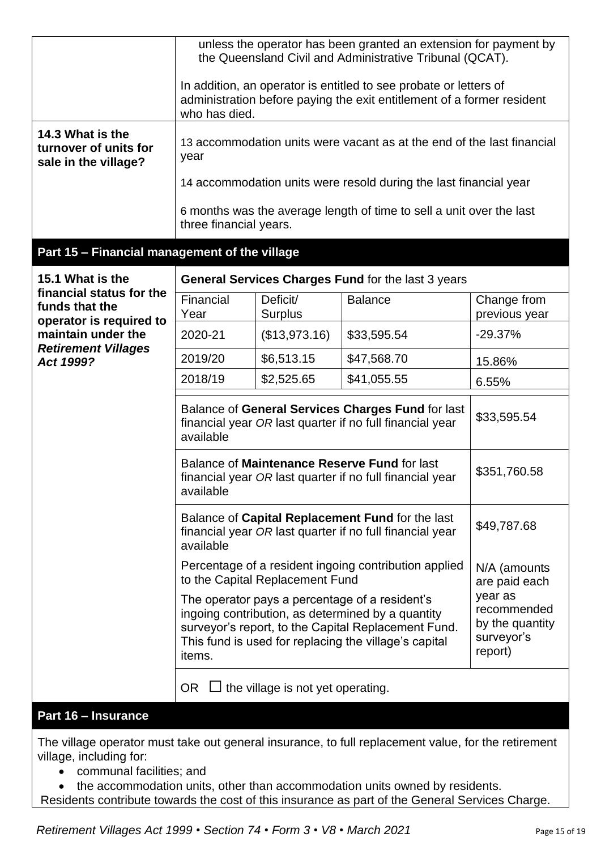| 14.3 What is the<br>turnover of units for<br>sale in the village? | unless the operator has been granted an extension for payment by<br>the Queensland Civil and Administrative Tribunal (QCAT).<br>In addition, an operator is entitled to see probate or letters of<br>administration before paying the exit entitlement of a former resident<br>who has died.<br>13 accommodation units were vacant as at the end of the last financial<br>year<br>14 accommodation units were resold during the last financial year<br>6 months was the average length of time to sell a unit over the last |                                          |                                                                    |                              |
|-------------------------------------------------------------------|-----------------------------------------------------------------------------------------------------------------------------------------------------------------------------------------------------------------------------------------------------------------------------------------------------------------------------------------------------------------------------------------------------------------------------------------------------------------------------------------------------------------------------|------------------------------------------|--------------------------------------------------------------------|------------------------------|
|                                                                   | three financial years.                                                                                                                                                                                                                                                                                                                                                                                                                                                                                                      |                                          |                                                                    |                              |
| Part 15 - Financial management of the village                     |                                                                                                                                                                                                                                                                                                                                                                                                                                                                                                                             |                                          |                                                                    |                              |
| 15.1 What is the<br>financial status for the                      |                                                                                                                                                                                                                                                                                                                                                                                                                                                                                                                             |                                          | General Services Charges Fund for the last 3 years                 |                              |
| funds that the                                                    | Financial<br>Year                                                                                                                                                                                                                                                                                                                                                                                                                                                                                                           | Deficit/<br>Surplus                      | <b>Balance</b>                                                     | Change from<br>previous year |
| operator is required to<br>maintain under the                     | 2020-21                                                                                                                                                                                                                                                                                                                                                                                                                                                                                                                     | (\$13,973.16)                            | \$33,595.54                                                        | $-29.37%$                    |
| <b>Retirement Villages</b><br>Act 1999?                           | 2019/20                                                                                                                                                                                                                                                                                                                                                                                                                                                                                                                     | \$6,513.15                               | \$47,568.70                                                        | 15.86%                       |
|                                                                   | 2018/19                                                                                                                                                                                                                                                                                                                                                                                                                                                                                                                     | \$2,525.65                               | \$41,055.55                                                        | 6.55%                        |
|                                                                   | Balance of General Services Charges Fund for last<br>financial year OR last quarter if no full financial year<br>available                                                                                                                                                                                                                                                                                                                                                                                                  |                                          | \$33,595.54                                                        |                              |
|                                                                   | Balance of Maintenance Reserve Fund for last<br>financial year OR last quarter if no full financial year<br>available                                                                                                                                                                                                                                                                                                                                                                                                       |                                          | \$351,760.58                                                       |                              |
|                                                                   | Balance of Capital Replacement Fund for the last<br>financial year OR last quarter if no full financial year<br>available                                                                                                                                                                                                                                                                                                                                                                                                   |                                          | \$49,787.68                                                        |                              |
|                                                                   | Percentage of a resident ingoing contribution applied<br>to the Capital Replacement Fund                                                                                                                                                                                                                                                                                                                                                                                                                                    |                                          | N/A (amounts<br>are paid each                                      |                              |
|                                                                   | The operator pays a percentage of a resident's<br>ingoing contribution, as determined by a quantity<br>surveyor's report, to the Capital Replacement Fund.<br>This fund is used for replacing the village's capital<br>items.                                                                                                                                                                                                                                                                                               |                                          | year as<br>recommended<br>by the quantity<br>surveyor's<br>report) |                              |
|                                                                   | OR.                                                                                                                                                                                                                                                                                                                                                                                                                                                                                                                         | $\Box$ the village is not yet operating. |                                                                    |                              |
| Part 16 - Insurance                                               |                                                                                                                                                                                                                                                                                                                                                                                                                                                                                                                             |                                          |                                                                    |                              |

The village operator must take out general insurance, to full replacement value, for the retirement village, including for:

• communal facilities; and

• the accommodation units, other than accommodation units owned by residents.

Residents contribute towards the cost of this insurance as part of the General Services Charge.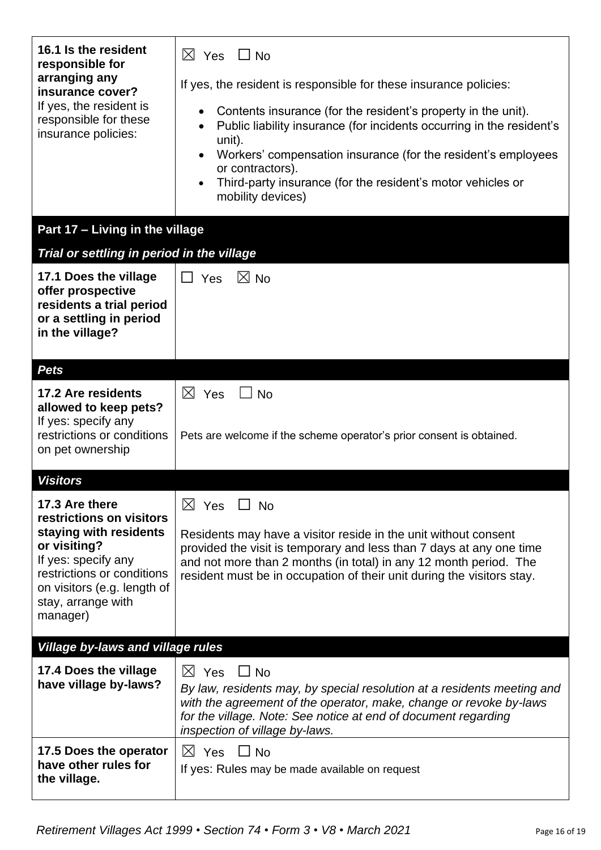| 16.1 Is the resident<br>responsible for<br>arranging any<br>insurance cover?<br>If yes, the resident is<br>responsible for these<br>insurance policies:                                                    | $\boxtimes$ Yes<br>$\Box$ No<br>If yes, the resident is responsible for these insurance policies:<br>Contents insurance (for the resident's property in the unit).<br>$\bullet$<br>Public liability insurance (for incidents occurring in the resident's<br>$\bullet$<br>unit).<br>Workers' compensation insurance (for the resident's employees<br>$\bullet$<br>or contractors).<br>Third-party insurance (for the resident's motor vehicles or<br>$\bullet$<br>mobility devices) |
|------------------------------------------------------------------------------------------------------------------------------------------------------------------------------------------------------------|------------------------------------------------------------------------------------------------------------------------------------------------------------------------------------------------------------------------------------------------------------------------------------------------------------------------------------------------------------------------------------------------------------------------------------------------------------------------------------|
| Part 17 - Living in the village                                                                                                                                                                            |                                                                                                                                                                                                                                                                                                                                                                                                                                                                                    |
| Trial or settling in period in the village<br>17.1 Does the village<br>offer prospective<br>residents a trial period<br>or a settling in period<br>in the village?                                         | $\boxtimes$ No<br>П<br>Yes                                                                                                                                                                                                                                                                                                                                                                                                                                                         |
| <b>Pets</b>                                                                                                                                                                                                |                                                                                                                                                                                                                                                                                                                                                                                                                                                                                    |
| 17.2 Are residents<br>allowed to keep pets?<br>If yes: specify any<br>restrictions or conditions<br>on pet ownership                                                                                       | $\boxtimes$ Yes<br><b>No</b><br>Pets are welcome if the scheme operator's prior consent is obtained.                                                                                                                                                                                                                                                                                                                                                                               |
| <b>Visitors</b>                                                                                                                                                                                            |                                                                                                                                                                                                                                                                                                                                                                                                                                                                                    |
| 17.3 Are there<br>restrictions on visitors<br>staying with residents<br>or visiting?<br>If yes: specify any<br>restrictions or conditions<br>on visitors (e.g. length of<br>stay, arrange with<br>manager) | $\boxtimes$ Yes<br>$\Box$ No<br>Residents may have a visitor reside in the unit without consent<br>provided the visit is temporary and less than 7 days at any one time<br>and not more than 2 months (in total) in any 12 month period. The<br>resident must be in occupation of their unit during the visitors stay.                                                                                                                                                             |
| <b>Village by-laws and village rules</b>                                                                                                                                                                   |                                                                                                                                                                                                                                                                                                                                                                                                                                                                                    |
| 17.4 Does the village<br>have village by-laws?                                                                                                                                                             | $\boxtimes$ Yes<br>$\Box$ No<br>By law, residents may, by special resolution at a residents meeting and<br>with the agreement of the operator, make, change or revoke by-laws<br>for the village. Note: See notice at end of document regarding<br>inspection of village by-laws.                                                                                                                                                                                                  |
| 17.5 Does the operator<br>have other rules for<br>the village.                                                                                                                                             | $\boxtimes$ Yes $\Box$ No<br>If yes: Rules may be made available on request                                                                                                                                                                                                                                                                                                                                                                                                        |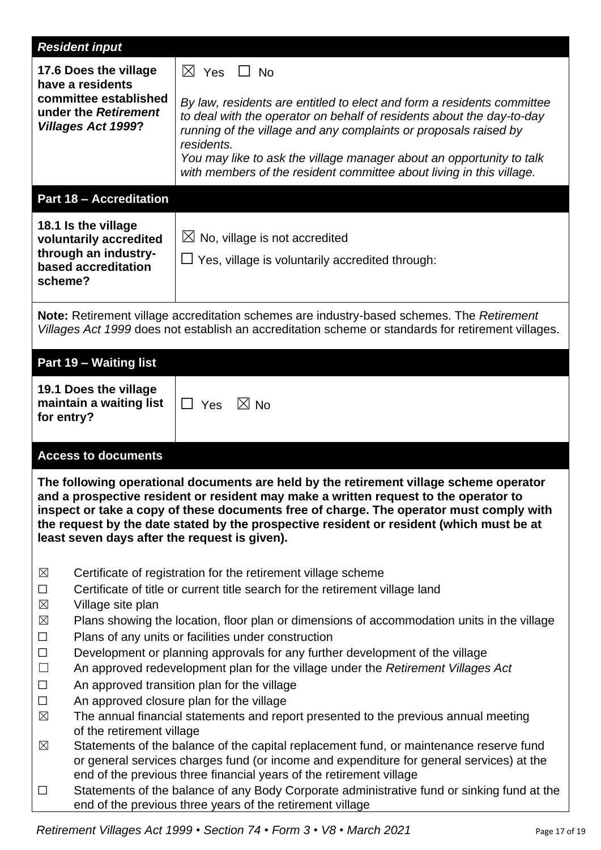| <b>Resident input</b>                                                                                                                                                                                                                                                                                                                                                                                                  |                                                                                                                                                                                                                                                                                                                                                                                                                                                   |  |
|------------------------------------------------------------------------------------------------------------------------------------------------------------------------------------------------------------------------------------------------------------------------------------------------------------------------------------------------------------------------------------------------------------------------|---------------------------------------------------------------------------------------------------------------------------------------------------------------------------------------------------------------------------------------------------------------------------------------------------------------------------------------------------------------------------------------------------------------------------------------------------|--|
| 17.6 Does the village<br>have a residents<br>committee established<br>under the Retirement<br><b>Villages Act 1999?</b>                                                                                                                                                                                                                                                                                                | $\boxtimes$ Yes $\Box$ No<br>By law, residents are entitled to elect and form a residents committee<br>to deal with the operator on behalf of residents about the day-to-day<br>running of the village and any complaints or proposals raised by                                                                                                                                                                                                  |  |
|                                                                                                                                                                                                                                                                                                                                                                                                                        | residents.<br>You may like to ask the village manager about an opportunity to talk<br>with members of the resident committee about living in this village.                                                                                                                                                                                                                                                                                        |  |
| <b>Part 18 - Accreditation</b>                                                                                                                                                                                                                                                                                                                                                                                         |                                                                                                                                                                                                                                                                                                                                                                                                                                                   |  |
| 18.1 Is the village<br>voluntarily accredited<br>through an industry-<br>based accreditation<br>scheme?                                                                                                                                                                                                                                                                                                                | $\boxtimes$ No, village is not accredited<br>$\Box$ Yes, village is voluntarily accredited through:                                                                                                                                                                                                                                                                                                                                               |  |
| Note: Retirement village accreditation schemes are industry-based schemes. The Retirement<br>Villages Act 1999 does not establish an accreditation scheme or standards for retirement villages.                                                                                                                                                                                                                        |                                                                                                                                                                                                                                                                                                                                                                                                                                                   |  |
| Part 19 - Waiting list                                                                                                                                                                                                                                                                                                                                                                                                 |                                                                                                                                                                                                                                                                                                                                                                                                                                                   |  |
| 19.1 Does the village<br>maintain a waiting list<br>for entry?                                                                                                                                                                                                                                                                                                                                                         | $\boxtimes$ No<br>$\Box$ Yes                                                                                                                                                                                                                                                                                                                                                                                                                      |  |
| <b>Access to documents</b>                                                                                                                                                                                                                                                                                                                                                                                             |                                                                                                                                                                                                                                                                                                                                                                                                                                                   |  |
| The following operational documents are held by the retirement village scheme operator<br>and a prospective resident or resident may make a written request to the operator to<br>inspect or take a copy of these documents free of charge. The operator must comply with<br>the request by the date stated by the prospective resident or resident (which must be at<br>least seven days after the request is given). |                                                                                                                                                                                                                                                                                                                                                                                                                                                   |  |
| Certificate of registration for the retirement village scheme<br>$\boxtimes$<br>Certificate of title or current title search for the retirement village land<br>$\Box$<br>Village site plan<br>$\boxtimes$<br>$\boxtimes$<br>Plans showing the location, floor plan or dimensions of accommodation units in the village<br>Plans of any units or facilities under construction<br>$\Box$                               |                                                                                                                                                                                                                                                                                                                                                                                                                                                   |  |
| Development or planning approvals for any further development of the village<br>$\Box$<br>$\Box$<br>An approved redevelopment plan for the village under the Retirement Villages Act<br>An approved transition plan for the village<br>$\Box$<br>$\Box$<br>An approved closure plan for the village<br>$\boxtimes$<br>The annual financial statements and report presented to the previous annual meeting              |                                                                                                                                                                                                                                                                                                                                                                                                                                                   |  |
| $\boxtimes$<br>$\Box$                                                                                                                                                                                                                                                                                                                                                                                                  | of the retirement village<br>Statements of the balance of the capital replacement fund, or maintenance reserve fund<br>or general services charges fund (or income and expenditure for general services) at the<br>end of the previous three financial years of the retirement village<br>Statements of the balance of any Body Corporate administrative fund or sinking fund at the<br>end of the previous three years of the retirement village |  |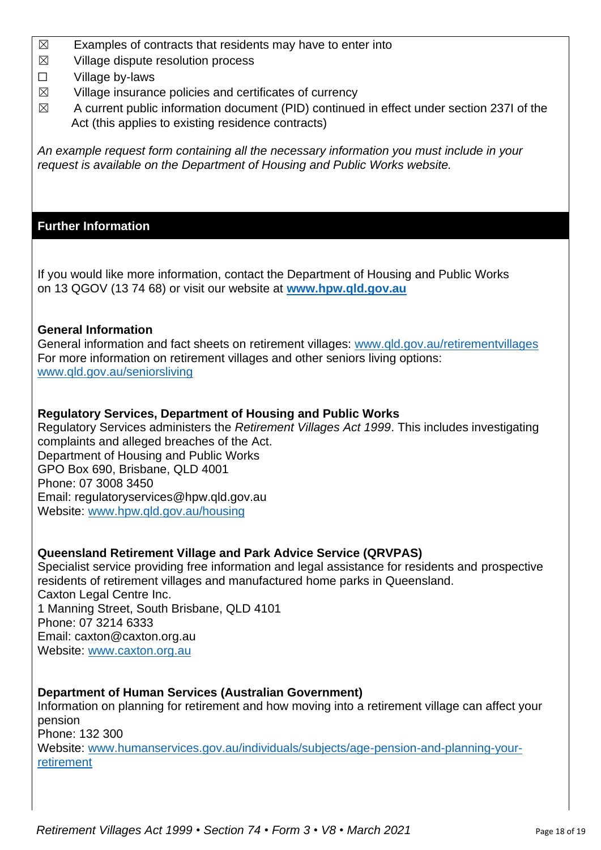- $\boxtimes$  Examples of contracts that residents may have to enter into
- $\boxtimes$  Village dispute resolution process
- ☐ Village by-laws
- $\boxtimes$  Village insurance policies and certificates of currency
- $\boxtimes$  A current public information document (PID) continued in effect under section 237I of the Act (this applies to existing residence contracts)

*An example request form containing all the necessary information you must include in your request is available on the Department of Housing and Public Works website.*

## **Further Information**

If you would like more information, contact the Department of Housing and Public Works on 13 QGOV (13 74 68) or visit our website at **[www.hpw.qld.gov.au](http://www.hpw.qld.gov.au/)**

### **General Information**

General information and fact sheets on retirement villages: [www.qld.gov.au/retirementvillages](http://www.qld.gov.au/retirementvillages) For more information on retirement villages and other seniors living options: [www.qld.gov.au/seniorsliving](http://www.qld.gov.au/seniorsliving)

### **Regulatory Services, Department of Housing and Public Works**

Regulatory Services administers the *Retirement Villages Act 1999*. This includes investigating complaints and alleged breaches of the Act. Department of Housing and Public Works GPO Box 690, Brisbane, QLD 4001 Phone: 07 3008 3450 Email: regulatoryservices@hpw.qld.gov.au Website: [www.hpw.qld.gov.au/housing](http://www.hpw.qld.gov.au/housing)

## **Queensland Retirement Village and Park Advice Service (QRVPAS)**

Specialist service providing free information and legal assistance for residents and prospective residents of retirement villages and manufactured home parks in Queensland. Caxton Legal Centre Inc. 1 Manning Street, South Brisbane, QLD 4101 Phone: 07 3214 6333 Email: caxton@caxton.org.au Website: [www.caxton.org.au](http://www.caxton.org.au/)

## **Department of Human Services (Australian Government)**

Information on planning for retirement and how moving into a retirement village can affect your pension Phone: 132 300

Website: [www.humanservices.gov.au/individuals/subjects/age-pension-and-planning-your](file:///C:/Users/juliet.gross/AppData/Roaming/Microsoft/Word/www.humanservices.gov.au/individuals/subjects/age-pension-and-planning-your-retirement)[retirement](file:///C:/Users/juliet.gross/AppData/Roaming/Microsoft/Word/www.humanservices.gov.au/individuals/subjects/age-pension-and-planning-your-retirement)